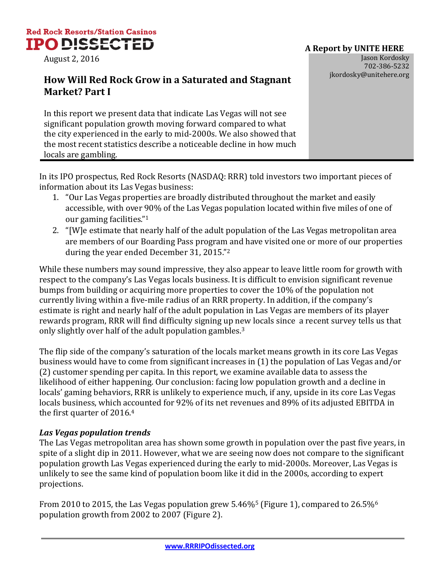# **Red Rock Resorts/Station Casinos TPO DISSECTED** A Report by UNITE HERE

August 2, 2016 **Jason Kordosky** 

## jkordosky@unitehere.org **How Will Red Rock Grow in a Saturated and Stagnant Market? Part I**

In this report we present data that indicate Las Vegas will not see significant population growth moving forward compared to what the city experienced in the early to mid-2000s. We also showed that the most recent statistics describe a noticeable decline in how much locals are gambling.

In its IPO prospectus, Red Rock Resorts (NASDAQ: RRR) told investors two important pieces of information about its Las Vegas business:

- 1. "Our Las Vegas properties are broadly distributed throughout the market and easily accessible, with over 90% of the Las Vegas population located within five miles of one of our gaming facilities."<sup>1</sup>
- 2. "[W]e estimate that nearly half of the adult population of the Las Vegas metropolitan area are members of our Boarding Pass program and have visited one or more of our properties during the year ended December 31, 2015."<sup>2</sup>

While these numbers may sound impressive, they also appear to leave little room for growth with respect to the company's Las Vegas locals business. It is difficult to envision significant revenue bumps from building or acquiring more properties to cover the 10% of the population not currently living within a five-mile radius of an RRR property. In addition, if the company's estimate is right and nearly half of the adult population in Las Vegas are members of its player rewards program, RRR will find difficulty signing up new locals since a recent survey tells us that only slightly over half of the adult population gambles.<sup>3</sup>

The flip side of the company's saturation of the locals market means growth in its core Las Vegas business would have to come from significant increases in (1) the population of Las Vegas and/or (2) customer spending per capita. In this report, we examine available data to assess the likelihood of either happening. Our conclusion: facing low population growth and a decline in locals' gaming behaviors, RRR is unlikely to experience much, if any, upside in its core Las Vegas locals business, which accounted for 92% of its net revenues and 89% of its adjusted EBITDA in the first quarter of 2016.<sup>4</sup>

#### *Las Vegas population trends*

The Las Vegas metropolitan area has shown some growth in population over the past five years, in spite of a slight dip in 2011. However, what we are seeing now does not compare to the significant population growth Las Vegas experienced during the early to mid-2000s. Moreover, Las Vegas is unlikely to see the same kind of population boom like it did in the 2000s, according to expert projections.

From 2010 to 2015, the Las Vegas population grew 5.46%<sup>5</sup> (Figure 1), compared to 26.5%<sup>6</sup> population growth from 2002 to 2007 (Figure 2).

702-386-5232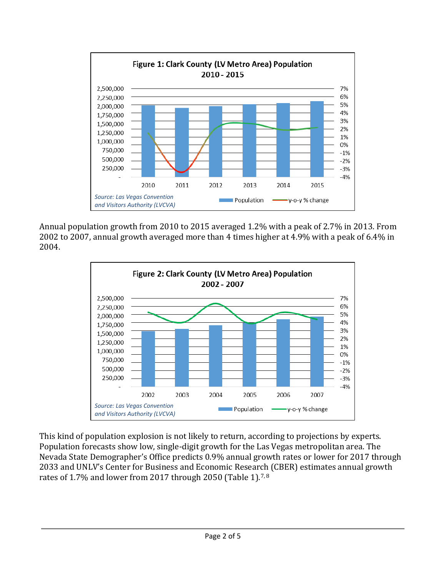

Annual population growth from 2010 to 2015 averaged 1.2% with a peak of 2.7% in 2013. From 2002 to 2007, annual growth averaged more than 4 times higher at 4.9% with a peak of 6.4% in 2004.



This kind of population explosion is not likely to return, according to projections by experts. Population forecasts show low, single-digit growth for the Las Vegas metropolitan area. The Nevada State Demographer's Office predicts 0.9% annual growth rates or lower for 2017 through 2033 and UNLV's Center for Business and Economic Research (CBER) estimates annual growth rates of 1.7% and lower from 2017 through 2050 (Table 1).<sup>7,8</sup>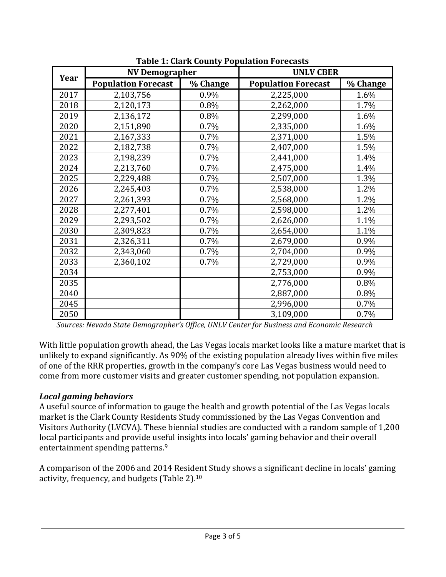| Year | <b>NV Demographer</b>      |          | <b>UNLV CBER</b>           |          |
|------|----------------------------|----------|----------------------------|----------|
|      | <b>Population Forecast</b> | % Change | <b>Population Forecast</b> | % Change |
| 2017 | 2,103,756                  | 0.9%     | 2,225,000                  | 1.6%     |
| 2018 | 2,120,173                  | 0.8%     | 2,262,000                  | 1.7%     |
| 2019 | 2,136,172                  | 0.8%     | 2,299,000                  | 1.6%     |
| 2020 | 2,151,890                  | 0.7%     | 2,335,000                  | 1.6%     |
| 2021 | 2,167,333                  | 0.7%     | 2,371,000                  | 1.5%     |
| 2022 | 2,182,738                  | 0.7%     | 2,407,000                  | 1.5%     |
| 2023 | 2,198,239                  | 0.7%     | 2,441,000                  | 1.4%     |
| 2024 | 2,213,760                  | 0.7%     | 2,475,000                  | 1.4%     |
| 2025 | 2,229,488                  | 0.7%     | 2,507,000                  | 1.3%     |
| 2026 | 2,245,403                  | 0.7%     | 2,538,000                  | 1.2%     |
| 2027 | 2,261,393                  | 0.7%     | 2,568,000                  | 1.2%     |
| 2028 | 2,277,401                  | 0.7%     | 2,598,000                  | 1.2%     |
| 2029 | 2,293,502                  | 0.7%     | 2,626,000                  | 1.1%     |
| 2030 | 2,309,823                  | 0.7%     | 2,654,000                  | 1.1%     |
| 2031 | 2,326,311                  | 0.7%     | 2,679,000                  | 0.9%     |
| 2032 | 2,343,060                  | 0.7%     | 2,704,000                  | 0.9%     |
| 2033 | 2,360,102                  | 0.7%     | 2,729,000                  | 0.9%     |
| 2034 |                            |          | 2,753,000                  | 0.9%     |
| 2035 |                            |          | 2,776,000                  | 0.8%     |
| 2040 |                            |          | 2,887,000                  | 0.8%     |
| 2045 |                            |          | 2,996,000                  | 0.7%     |
| 2050 |                            |          | 3,109,000                  | 0.7%     |

**Table 1: Clark County Population Forecasts**

*Sources: Nevada State Demographer's Office, UNLV Center for Business and Economic Research*

With little population growth ahead, the Las Vegas locals market looks like a mature market that is unlikely to expand significantly. As 90% of the existing population already lives within five miles of one of the RRR properties, growth in the company's core Las Vegas business would need to come from more customer visits and greater customer spending, not population expansion.

### *Local gaming behaviors*

A useful source of information to gauge the health and growth potential of the Las Vegas locals market is the Clark County Residents Study commissioned by the Las Vegas Convention and Visitors Authority (LVCVA). These biennial studies are conducted with a random sample of 1,200 local participants and provide useful insights into locals' gaming behavior and their overall entertainment spending patterns.<sup>9</sup>

A comparison of the 2006 and 2014 Resident Study shows a significant decline in locals' gaming activity, frequency, and budgets (Table 2).<sup>10</sup>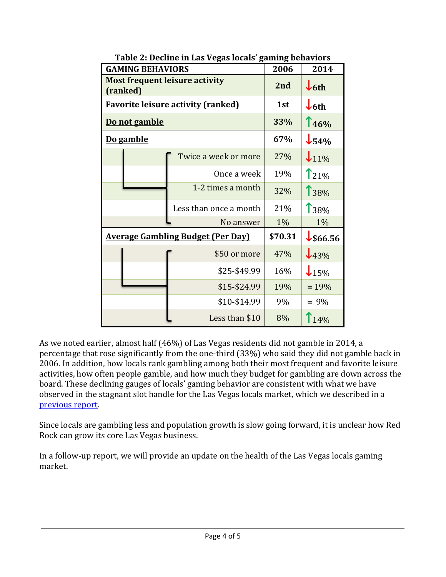|           | <b>GAMING BEHAVIORS</b>                           | 2006                   | 2014                 |                  |
|-----------|---------------------------------------------------|------------------------|----------------------|------------------|
|           | <b>Most frequent leisure activity</b><br>(ranked) | 2nd                    | $\downarrow$ 6th     |                  |
|           | <b>Favorite leisure activity (ranked)</b>         | 1st                    | $\downarrow$ 6th     |                  |
|           | Do not gamble                                     | 33%                    | 146%                 |                  |
| Do gamble |                                                   |                        | 67%                  | $\downarrow$ 54% |
|           |                                                   | Twice a week or more   | 27%                  | $\downarrow$ 11% |
|           |                                                   | Once a week            | 19%                  | $T_{21\%}$       |
|           |                                                   | 1-2 times a month      | 32%                  | <b>T</b> 38%     |
|           |                                                   | Less than once a month | 21%                  | T <sub>38%</sub> |
|           |                                                   | No answer              | 1%                   | 1%               |
|           | <b>Average Gambling Budget (Per Day)</b>          | \$70.31                | $\downarrow$ \$66.56 |                  |
|           |                                                   | \$50 or more           | 47%                  | $\frac{1}{43\%}$ |
|           |                                                   | \$25-\$49.99           | 16%                  | $\downarrow$ 15% |
|           |                                                   | \$15-\$24.99           | 19%                  | $= 19%$          |
|           |                                                   | \$10-\$14.99           | 9%                   | $= 9\%$          |
|           |                                                   | Less than \$10         | 8%                   | 14%              |

**Table 2: Decline in Las Vegas locals' gaming behaviors**

As we noted earlier, almost half (46%) of Las Vegas residents did not gamble in 2014, a percentage that rose significantly from the one-third (33%) who said they did not gamble back in 2006. In addition, how locals rank gambling among both their most frequent and favorite leisure activities, how often people gamble, and how much they budget for gambling are down across the board. These declining gauges of locals' gaming behavior are consistent with what we have observed in the stagnant slot handle for the Las Vegas locals market, which we described in a [previous report.](http://www.rrripodissected.org/selling-growth-while-cashing-out/)

Since locals are gambling less and population growth is slow going forward, it is unclear how Red Rock can grow its core Las Vegas business.

In a follow-up report, we will provide an update on the health of the Las Vegas locals gaming market.